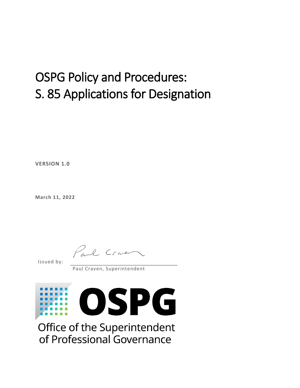### OSPG Policy and Procedures: S. 85 Applications for Designation

**VERSION 1.0**

**March 11, 2022**

Paul Craver

Issued by:

Paul Craven, Superintendent



Office of the Superintendent of Professional Governance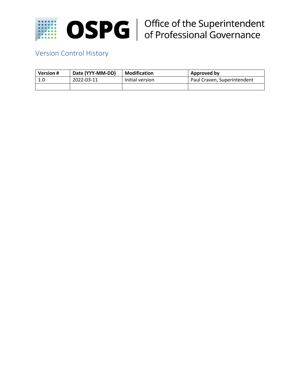

# **OSPG** | Office of the Superintendent<br>of Professional Governance

### Version Control History

| <b>Version #</b> | Date (YYY-MM-DD) | <b>Modification</b> | Approved by                 |
|------------------|------------------|---------------------|-----------------------------|
| 1.0              | 2022-03-11       | Initial version     | Paul Craven, Superintendent |
|                  |                  |                     |                             |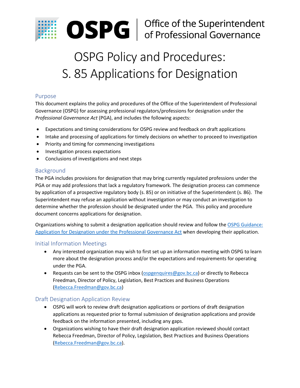

## **OSPG** | Office of the Superintendent<br>of Professional Governance

### OSPG Policy and Procedures: S. 85 Applications for Designation

#### Purpose

This document explains the policy and procedures of the Office of the Superintendent of Professional Governance (OSPG) for assessing professional regulators/professions for designation under the *Professional Governance Act* (PGA), and includes the following aspects:

- Expectations and timing considerations for OSPG review and feedback on draft applications
- Intake and processing of applications for timely decisions on whether to proceed to investigation
- Priority and timing for commencing investigations
- Investigation process expectations
- Conclusions of investigations and next steps

#### Background

The PGA includes provisions for designation that may bring currently regulated professions under the PGA or may add professions that lack a regulatory framework. The designation process can commence by application of a prospective regulatory body (s. 85) or on initiative of the Superintendent (s. 86). The Superintendent may refuse an application without investigation or may conduct an investigation to determine whether the profession should be designated under the PGA. This policy and procedure document concerns applications for designation.

Organizations wishing to submit a designation application should review and follow th[e OSPG Guidance:](https://professionalgovernancebc.ca/app/uploads/sites/498/2021/05/OSPG-s.-85-application-for-designation-web-1.1-20210505.pdf)  [Application for Designation under the Professional Governance Act](https://professionalgovernancebc.ca/app/uploads/sites/498/2021/05/OSPG-s.-85-application-for-designation-web-1.1-20210505.pdf) when developing their application.

#### Initial Information Meetings

- Any interested organization may wish to first set up an information meeting with OSPG to learn more about the designation process and/or the expectations and requirements for operating under the PGA.
- Requests can be sent to the OSPG inbox [\(ospgenquires@gov.bc.ca\)](mailto:ospgenquires@gov.bc.ca) or directly to Rebecca Freedman, Director of Policy, Legislation, Best Practices and Business Operations [\(Rebecca.Freedman@gov.bc.ca\)](mailto:Rebecca.Freedman@gov.bc.ca)

#### Draft Designation Application Review

- OSPG will work to review draft designation applications or portions of draft designation applications as requested prior to formal submission of designation applications and provide feedback on the information presented, including any gaps.
- Organizations wishing to have their draft designation application reviewed should contact Rebecca Freedman, Director of Policy, Legislation, Best Practices and Business Operations [\(Rebecca.Freedman@gov.bc.ca\)](mailto:Rebecca.Freedman@gov.bc.ca).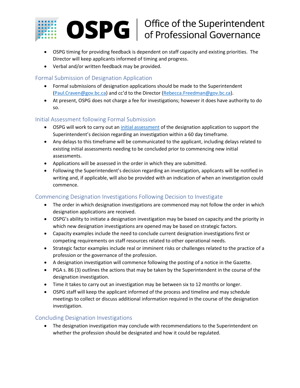

## **OSPG** | Office of the Superintendent<br>of Professional Governance

- OSPG timing for providing feedback is dependent on staff capacity and existing priorities. The Director will keep applicants informed of timing and progress.
- Verbal and/or written feedback may be provided.

#### Formal Submission of Designation Application

- Formal submissions of designation applications should be made to the Superintendent [\(Paul.Craven@gov.bc.ca](mailto:Paul.Craven@gov.bc.ca)) and cc'd to the Director ([Rebecca.Freedman@gov.bc.ca\)](mailto:Rebecca.Freedman@gov.bc.ca).
- At present, OSPG does not charge a fee for investigations; however it does have authority to do so.

#### Initial Assessment following Formal Submission

- OSPG will work to carry out a[n initial assessment](https://professionalgovernancebc.ca/app/uploads/sites/498/2021/03/Designation-criteria-web-20210309.pdf) of the designation application to support the Superintendent's decision regarding an investigation within a 60 day timeframe.
- Any delays to this timeframe will be communicated to the applicant, including delays related to existing initial assessments needing to be concluded prior to commencing new initial assessments.
- Applications will be assessed in the order in which they are submitted.
- Following the Superintendent's decision regarding an investigation, applicants will be notified in writing and, if applicable, will also be provided with an indication of when an investigation could commence.

#### Commencing Designation Investigations Following Decision to Investigate

- The order in which designation investigations are commenced may not follow the order in which designation applications are received.
- OSPG's ability to initiate a designation investigation may be based on capacity and the priority in which new designation investigations are opened may be based on strategic factors.
- Capacity examples include the need to conclude current designation investigations first or competing requirements on staff resources related to other operational needs.
- Strategic factor examples include real or imminent risks or challenges related to the practice of a profession or the governance of the profession.
- A designation investigation will commence following the posting of a notice in the Gazette.
- PGA s. 86 (3) outlines the actions that may be taken by the Superintendent in the course of the designation investigation.
- Time it takes to carry out an investigation may be between six to 12 months or longer.
- OSPG staff will keep the applicant informed of the process and timeline and may schedule meetings to collect or discuss additional information required in the course of the designation investigation.

#### Concluding Designation Investigations

• The designation investigation may conclude with recommendations to the Superintendent on whether the profession should be designated and how it could be regulated.